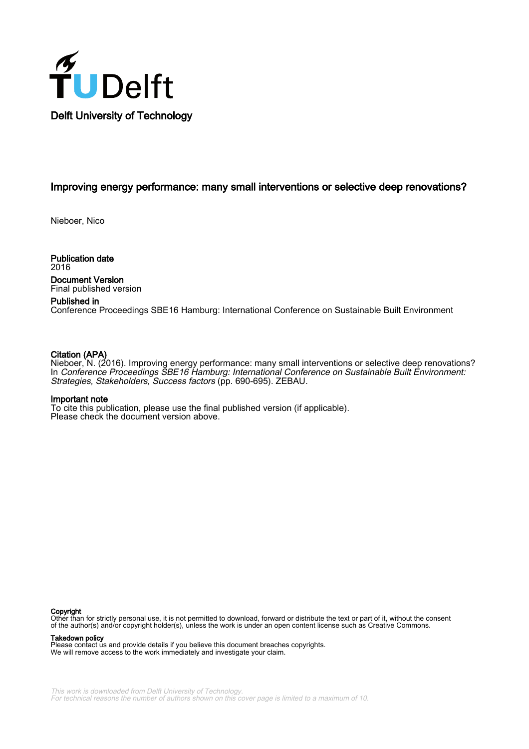

#### Improving energy performance: many small interventions or selective deep renovations?

Nieboer, Nico

Publication date 2016 Document Version Final published version

#### Published in

Conference Proceedings SBE16 Hamburg: International Conference on Sustainable Built Environment

#### Citation (APA)

Nieboer, N. (2016). Improving energy performance: many small interventions or selective deep renovations? In Conference Proceedings SBE16 Hamburg: International Conference on Sustainable Built Environment: Strategies, Stakeholders, Success factors (pp. 690-695). ZEBAU.

#### Important note

To cite this publication, please use the final published version (if applicable). Please check the document version above.

#### Copyright

Other than for strictly personal use, it is not permitted to download, forward or distribute the text or part of it, without the consent of the author(s) and/or copyright holder(s), unless the work is under an open content license such as Creative Commons.

Takedown policy

Please contact us and provide details if you believe this document breaches copyrights. We will remove access to the work immediately and investigate your claim.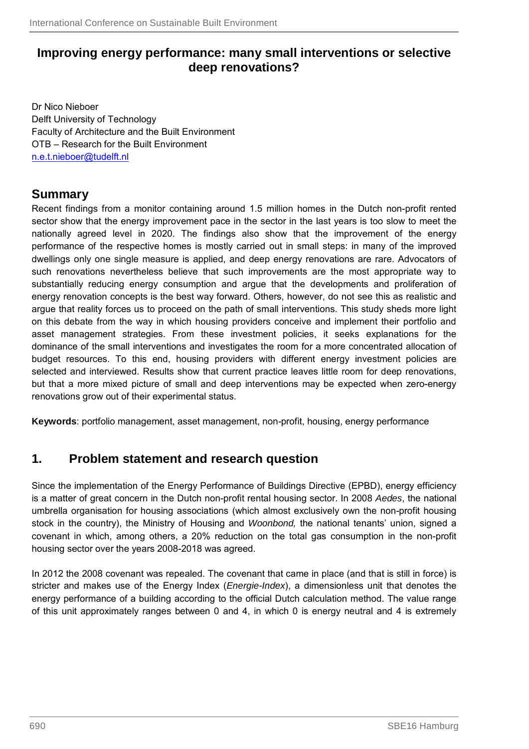### **Improving energy performance: many small interventions or selective deep renovations?**

Dr Nico Nieboer Delft University of Technology Faculty of Architecture and the Built Environment OTB – Research for the Built Environment n.e.t.nieboer@tudelft.nl

## **Summary**

Recent findings from a monitor containing around 1.5 million homes in the Dutch non-profit rented sector show that the energy improvement pace in the sector in the last years is too slow to meet the nationally agreed level in 2020. The findings also show that the improvement of the energy performance of the respective homes is mostly carried out in small steps: in many of the improved dwellings only one single measure is applied, and deep energy renovations are rare. Advocators of such renovations nevertheless believe that such improvements are the most appropriate way to substantially reducing energy consumption and argue that the developments and proliferation of energy renovation concepts is the best way forward. Others, however, do not see this as realistic and argue that reality forces us to proceed on the path of small interventions. This study sheds more light on this debate from the way in which housing providers conceive and implement their portfolio and asset management strategies. From these investment policies, it seeks explanations for the dominance of the small interventions and investigates the room for a more concentrated allocation of budget resources. To this end, housing providers with different energy investment policies are selected and interviewed. Results show that current practice leaves little room for deep renovations, but that a more mixed picture of small and deep interventions may be expected when zero-energy renovations grow out of their experimental status.

**Keywords**: portfolio management, asset management, non-profit, housing, energy performance

## **1. Problem statement and research question**

Since the implementation of the Energy Performance of Buildings Directive (EPBD), energy efficiency is a matter of great concern in the Dutch non-profit rental housing sector. In 2008 *Aedes*, the national umbrella organisation for housing associations (which almost exclusively own the non-profit housing stock in the country), the Ministry of Housing and *Woonbond,* the national tenants' union, signed a covenant in which, among others, a 20% reduction on the total gas consumption in the non-profit housing sector over the years 2008-2018 was agreed.

In 2012 the 2008 covenant was repealed. The covenant that came in place (and that is still in force) is stricter and makes use of the Energy Index (*Energie-Index*), a dimensionless unit that denotes the energy performance of a building according to the official Dutch calculation method. The value range of this unit approximately ranges between 0 and 4, in which 0 is energy neutral and 4 is extremely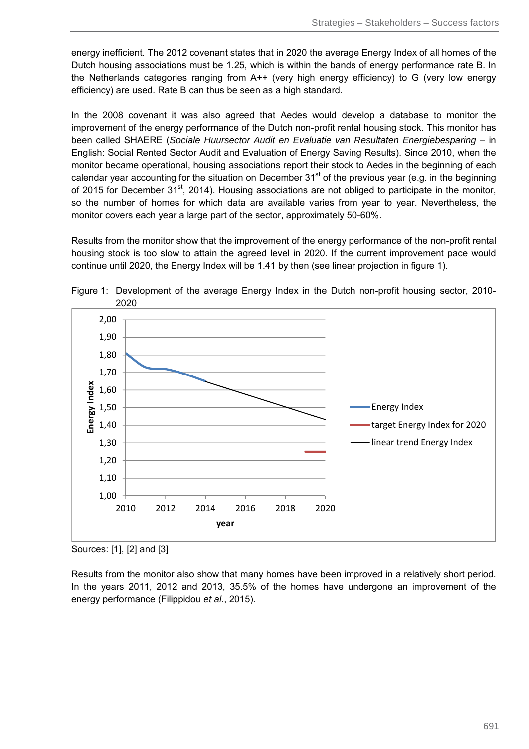energy inefficient. The 2012 covenant states that in 2020 the average Energy Index of all homes of the Dutch housing associations must be 1.25, which is within the bands of energy performance rate B. In the Netherlands categories ranging from A++ (very high energy efficiency) to G (very low energy efficiency) are used. Rate B can thus be seen as a high standard.

In the 2008 covenant it was also agreed that Aedes would develop a database to monitor the improvement of the energy performance of the Dutch non-profit rental housing stock. This monitor has been called SHAERE (*Sociale Huursector Audit en Evaluatie van Resultaten Energiebesparing* – in English: Social Rented Sector Audit and Evaluation of Energy Saving Results). Since 2010, when the monitor became operational, housing associations report their stock to Aedes in the beginning of each calendar year accounting for the situation on December  $31<sup>st</sup>$  of the previous year (e.g. in the beginning of 2015 for December  $31<sup>st</sup>$ , 2014). Housing associations are not obliged to participate in the monitor, so the number of homes for which data are available varies from year to year. Nevertheless, the monitor covers each year a large part of the sector, approximately 50-60%.

Results from the monitor show that the improvement of the energy performance of the non-profit rental housing stock is too slow to attain the agreed level in 2020. If the current improvement pace would continue until 2020, the Energy Index will be 1.41 by then (see linear projection in figure 1).



Figure 1: Development of the average Energy Index in the Dutch non-profit housing sector, 2010- 2020

Results from the monitor also show that many homes have been improved in a relatively short period. In the years 2011, 2012 and 2013, 35.5% of the homes have undergone an improvement of the energy performance (Filippidou *et al*., 2015).

Sources: [1], [2] and [3]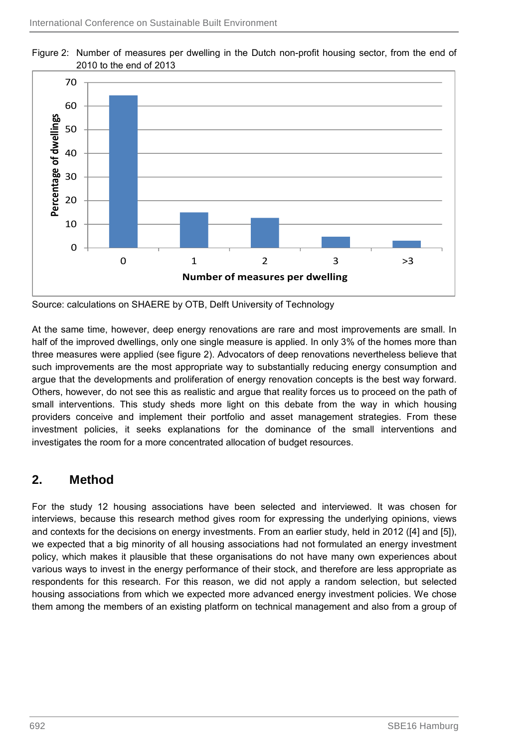

Figure 2: Number of measures per dwelling in the Dutch non-profit housing sector, from the end of 2010 to the end of 2013

Source: calculations on SHAERE by OTB, Delft University of Technology

At the same time, however, deep energy renovations are rare and most improvements are small. In half of the improved dwellings, only one single measure is applied. In only 3% of the homes more than three measures were applied (see figure 2). Advocators of deep renovations nevertheless believe that such improvements are the most appropriate way to substantially reducing energy consumption and argue that the developments and proliferation of energy renovation concepts is the best way forward. Others, however, do not see this as realistic and argue that reality forces us to proceed on the path of small interventions. This study sheds more light on this debate from the way in which housing providers conceive and implement their portfolio and asset management strategies. From these investment policies, it seeks explanations for the dominance of the small interventions and investigates the room for a more concentrated allocation of budget resources.

### **2. Method**

For the study 12 housing associations have been selected and interviewed. It was chosen for interviews, because this research method gives room for expressing the underlying opinions, views and contexts for the decisions on energy investments. From an earlier study, held in 2012 ([4] and [5]), we expected that a big minority of all housing associations had not formulated an energy investment policy, which makes it plausible that these organisations do not have many own experiences about various ways to invest in the energy performance of their stock, and therefore are less appropriate as respondents for this research. For this reason, we did not apply a random selection, but selected housing associations from which we expected more advanced energy investment policies. We chose them among the members of an existing platform on technical management and also from a group of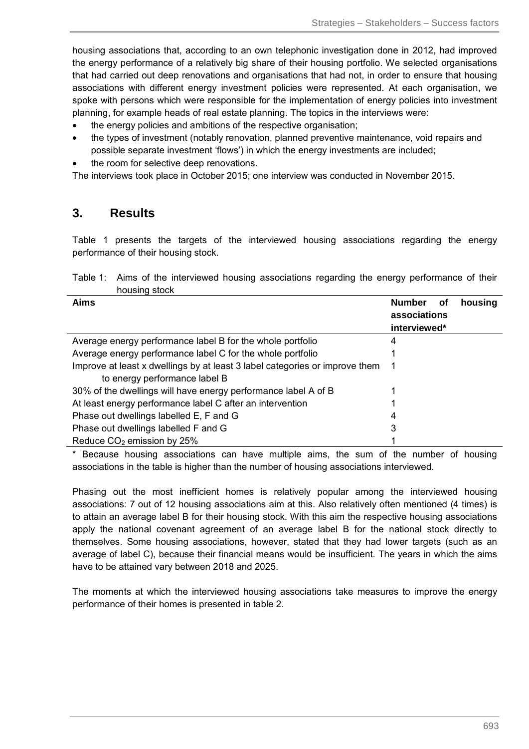housing associations that, according to an own telephonic investigation done in 2012, had improved the energy performance of a relatively big share of their housing portfolio. We selected organisations that had carried out deep renovations and organisations that had not, in order to ensure that housing associations with different energy investment policies were represented. At each organisation, we spoke with persons which were responsible for the implementation of energy policies into investment planning, for example heads of real estate planning. The topics in the interviews were:

- the energy policies and ambitions of the respective organisation;
- the types of investment (notably renovation, planned preventive maintenance, void repairs and possible separate investment 'flows') in which the energy investments are included;
- the room for selective deep renovations.

The interviews took place in October 2015; one interview was conducted in November 2015.

### **3. Results**

Table 1 presents the targets of the interviewed housing associations regarding the energy performance of their housing stock.

Table 1: Aims of the interviewed housing associations regarding the energy performance of their housing stock

| Aims                                                                        | <b>Number</b><br>housing<br>οf<br>associations<br>interviewed* |
|-----------------------------------------------------------------------------|----------------------------------------------------------------|
| Average energy performance label B for the whole portfolio                  | 4                                                              |
| Average energy performance label C for the whole portfolio                  |                                                                |
| Improve at least x dwellings by at least 3 label categories or improve them |                                                                |
| to energy performance label B                                               |                                                                |
| 30% of the dwellings will have energy performance label A of B              |                                                                |
| At least energy performance label C after an intervention                   |                                                                |
| Phase out dwellings labelled E, F and G                                     | 4                                                              |
| Phase out dwellings labelled F and G                                        | 3                                                              |
| Reduce CO <sub>2</sub> emission by 25%                                      |                                                                |

\* Because housing associations can have multiple aims, the sum of the number of housing associations in the table is higher than the number of housing associations interviewed.

Phasing out the most inefficient homes is relatively popular among the interviewed housing associations: 7 out of 12 housing associations aim at this. Also relatively often mentioned (4 times) is to attain an average label B for their housing stock. With this aim the respective housing associations apply the national covenant agreement of an average label B for the national stock directly to themselves. Some housing associations, however, stated that they had lower targets (such as an average of label C), because their financial means would be insufficient. The years in which the aims have to be attained vary between 2018 and 2025.

The moments at which the interviewed housing associations take measures to improve the energy performance of their homes is presented in table 2.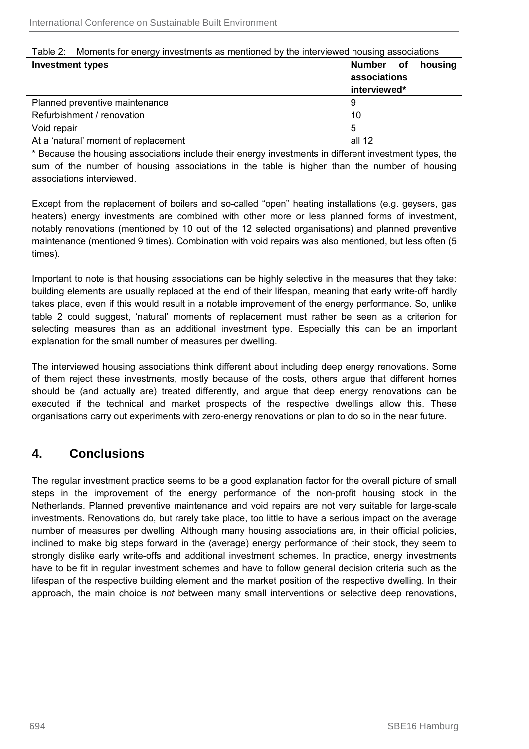| Table 2: Moments for energy investments as mentioned by the interviewed housing associations |              |  |         |
|----------------------------------------------------------------------------------------------|--------------|--|---------|
| <b>Investment types</b>                                                                      | Number of    |  | housing |
|                                                                                              | associations |  |         |
|                                                                                              | interviewed* |  |         |
| Planned preventive maintenance                                                               | 9            |  |         |
| Refurbishment / renovation                                                                   | 10           |  |         |
| Void repair                                                                                  | 5            |  |         |
| At a 'natural' moment of replacement                                                         | all 12       |  |         |

# Table 2: Moments for energy investments as mentioned by the interviewed housing associations

\* Because the housing associations include their energy investments in different investment types, the sum of the number of housing associations in the table is higher than the number of housing associations interviewed.

Except from the replacement of boilers and so-called "open" heating installations (e.g. geysers, gas heaters) energy investments are combined with other more or less planned forms of investment, notably renovations (mentioned by 10 out of the 12 selected organisations) and planned preventive maintenance (mentioned 9 times). Combination with void repairs was also mentioned, but less often (5 times).

Important to note is that housing associations can be highly selective in the measures that they take: building elements are usually replaced at the end of their lifespan, meaning that early write-off hardly takes place, even if this would result in a notable improvement of the energy performance. So, unlike table 2 could suggest, 'natural' moments of replacement must rather be seen as a criterion for selecting measures than as an additional investment type. Especially this can be an important explanation for the small number of measures per dwelling.

The interviewed housing associations think different about including deep energy renovations. Some of them reject these investments, mostly because of the costs, others argue that different homes should be (and actually are) treated differently, and argue that deep energy renovations can be executed if the technical and market prospects of the respective dwellings allow this. These organisations carry out experiments with zero-energy renovations or plan to do so in the near future.

## **4. Conclusions**

The regular investment practice seems to be a good explanation factor for the overall picture of small steps in the improvement of the energy performance of the non-profit housing stock in the Netherlands. Planned preventive maintenance and void repairs are not very suitable for large-scale investments. Renovations do, but rarely take place, too little to have a serious impact on the average number of measures per dwelling. Although many housing associations are, in their official policies, inclined to make big steps forward in the (average) energy performance of their stock, they seem to strongly dislike early write-offs and additional investment schemes. In practice, energy investments have to be fit in regular investment schemes and have to follow general decision criteria such as the lifespan of the respective building element and the market position of the respective dwelling. In their approach, the main choice is *not* between many small interventions or selective deep renovations,